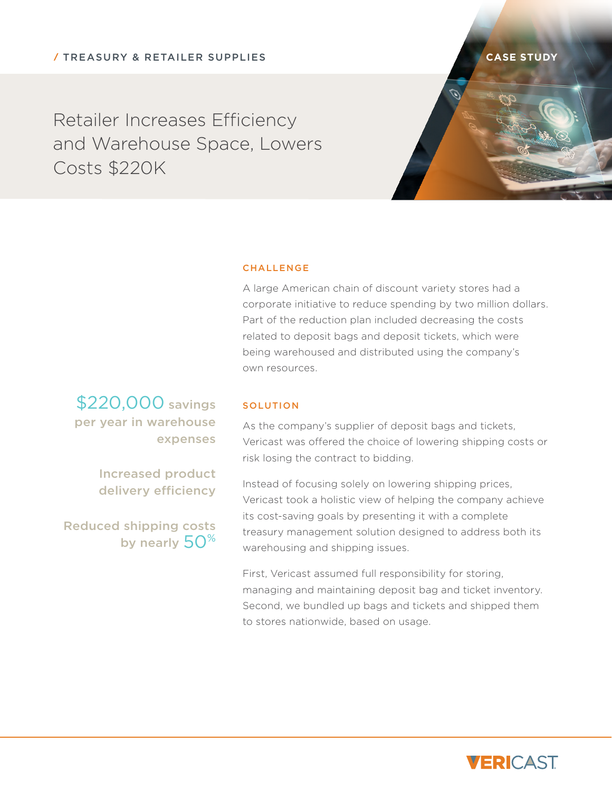**CASE STUDY**

Retailer Increases Efficiency and Warehouse Space, Lowers Costs \$220K



## **CHALLENGE**

A large American chain of discount variety stores had a corporate initiative to reduce spending by two million dollars. Part of the reduction plan included decreasing the costs related to deposit bags and deposit tickets, which were being warehoused and distributed using the company's own resources.

\$220,000 savings per year in warehouse expenses

> Increased product delivery efficiency

Reduced shipping costs by nearly  $50^{\%}$ 

## **SOLUTION**

As the company's supplier of deposit bags and tickets, Vericast was offered the choice of lowering shipping costs or risk losing the contract to bidding.

Instead of focusing solely on lowering shipping prices, Vericast took a holistic view of helping the company achieve its cost-saving goals by presenting it with a complete treasury management solution designed to address both its warehousing and shipping issues.

First, Vericast assumed full responsibility for storing, managing and maintaining deposit bag and ticket inventory. Second, we bundled up bags and tickets and shipped them to stores nationwide, based on usage.